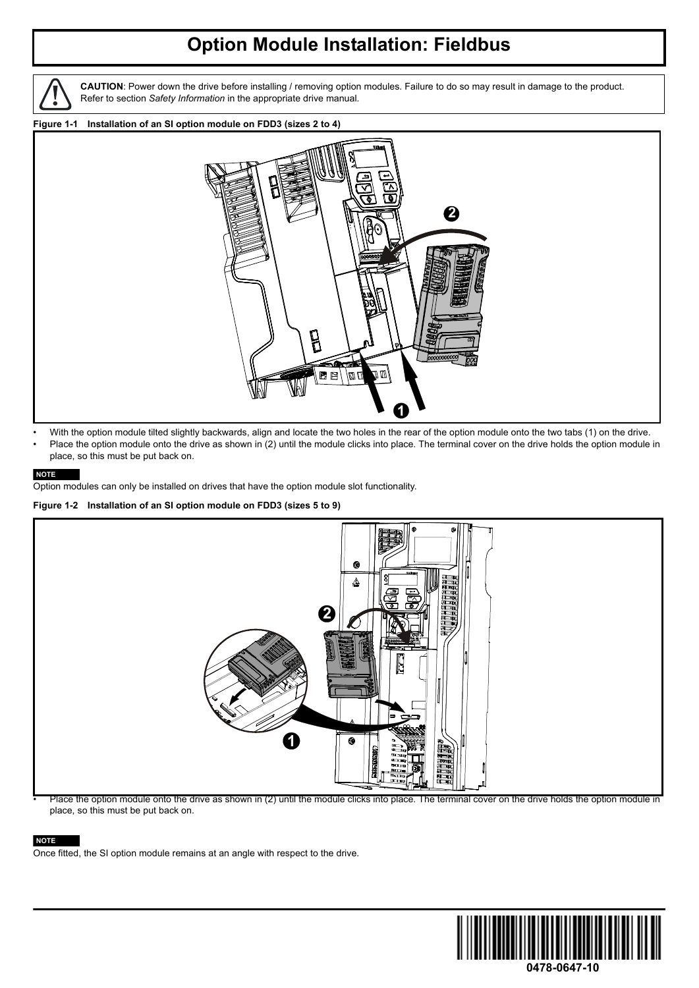## **Option Module Installation: Fieldbus**

**CAUTION**: Power down the drive before installing / removing option modules. Failure to do so may result in damage to the product. Refer to section *Safety Information* in the appropriate drive manual*.*

**Figure 1-1 Installation of an SI option module on FDD3 (sizes 2 to 4)**



With the option module tilted slightly backwards, align and locate the two holes in the rear of the option module onto the two tabs (1) on the drive. Place the option module onto the drive as shown in (2) until the module clicks into place. The terminal cover on the drive holds the option module in place, so this must be put back on.

## **NOTE**

Option modules can only be installed on drives that have the option module slot functionality.

## **Figure 1-2 Installation of an SI option module on FDD3 (sizes 5 to 9)**



• Place the option module onto the drive as shown in (2) until the module clicks into place. The terminal cover on the drive holds the option module in place, so this must be put back on.

## **NOTE**

Once fitted, the SI option module remains at an angle with respect to the drive.